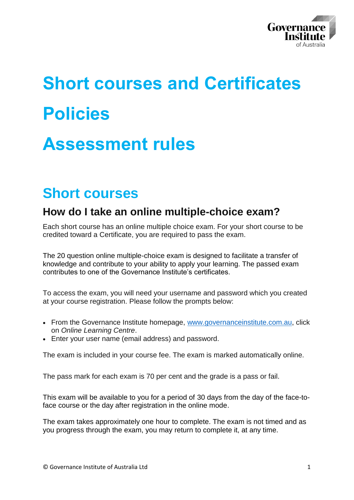

# **Short courses and Certificates Policies**

## **Assessment rules**

### **Short courses**

### **How do I take an online multiple-choice exam?**

Each short course has an online multiple choice exam. For your short course to be credited toward a Certificate, you are required to pass the exam.

The 20 question online multiple-choice exam is designed to facilitate a transfer of knowledge and contribute to your ability to apply your learning. The passed exam contributes to one of the Governance Institute's certificates.

To access the exam, you will need your username and password which you created at your course registration. Please follow the prompts below:

- From the Governance Institute homepage, [www.governanceinstitute.com.au,](http://www.governanceinstitute.com.au/) click on *Online Learning Centre*.
- Enter your user name (email address) and password.

The exam is included in your course fee. The exam is marked automatically online.

The pass mark for each exam is 70 per cent and the grade is a pass or fail.

This exam will be available to you for a period of 30 days from the day of the face-toface course or the day after registration in the online mode.

The exam takes approximately one hour to complete. The exam is not timed and as you progress through the exam, you may return to complete it, at any time.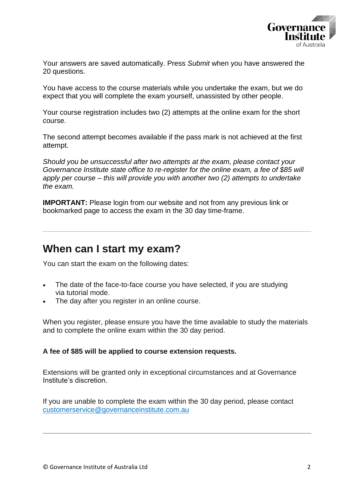

Your answers are saved automatically. Press *Submit* when you have answered the 20 questions.

You have access to the course materials while you undertake the exam, but we do expect that you will complete the exam yourself, unassisted by other people.

Your course registration includes two (2) attempts at the online exam for the short course.

The second attempt becomes available if the pass mark is not achieved at the first attempt.

*Should you be unsuccessful after two attempts at the exam, please contact your Governance Institute state office to re-register for the online exam, a fee of \$85 will apply per course – this will provide you with another two (2) attempts to undertake the exam.*

**IMPORTANT:** Please login from our website and not from any previous link or bookmarked page to access the exam in the 30 day time-frame.

#### **When can I start my exam?**

You can start the exam on the following dates:

- The date of the face-to-face course you have selected, if you are studying via tutorial mode.
- The day after you register in an online course.

When you register, please ensure you have the time available to study the materials and to complete the online exam within the 30 day period.

#### **A fee of \$85 will be applied to course extension requests.**

Extensions will be granted only in exceptional circumstances and at Governance Institute's discretion.

If you are unable to complete the exam within the 30 day period, please contact customerservice@governanceinstitute.com.au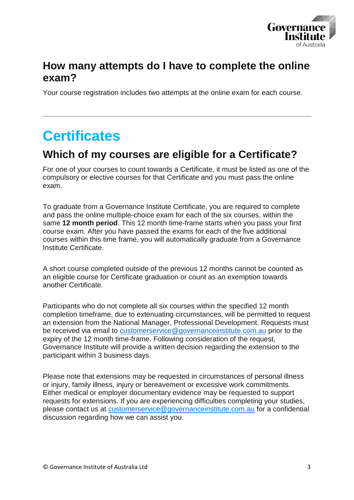

#### **How many attempts do I have to complete the online exam?**

Your course registration includes two attempts at the online exam for each course.

### **Certificates**

### **Which of my courses are eligible for a Certificate?**

For one of your courses to count towards a Certificate, it must be listed as one of the compulsory or elective courses for that Certificate and you must pass the online exam.

To graduate from a Governance Institute Certificate, you are required to complete and pass the online multiple-choice exam for each of the six courses, within the same **12 month period**. This 12 month time-frame starts when you pass your first course exam. After you have passed the exams for each of the five additional courses within this time frame, you will automatically graduate from a Governance Institute Certificate.

A short course completed outside of the previous 12 months cannot be counted as an eligible course for Certificate graduation or count as an exemption towards another Certificate.

Participants who do not complete all six courses within the specified 12 month completion timeframe, due to extenuating circumstances, will be permitted to request an extension from the National Manager, Professional Development. Requests must be received via email to [customerservice@governanceinstitute.com.au](mailto:customerservice@governanceinstitute.com.au) prior to the expiry of the 12 month time-frame. Following consideration of the request, Governance Institute will provide a written decision regarding the extension to the participant within 3 business days.

Please note that extensions may be requested in circumstances of personal illness or injury, family illness, injury or bereavement or excessive work commitments. Either medical or employer documentary evidence may be requested to support requests for extensions. If you are experiencing difficulties completing your studies, please contact us at [customerservice@governanceinstitute.com.au](mailto:customerservice@governanceinstitute.com.au) for a confidential discussion regarding how we can assist you.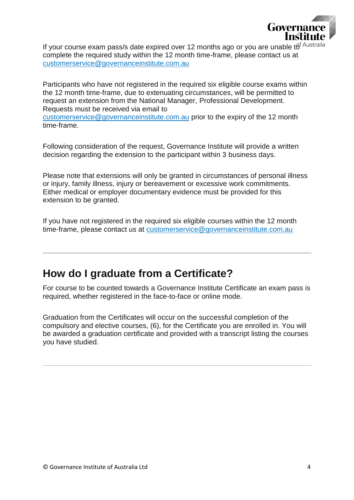

If your course exam pass/s date expired over 12 months ago or you are unable  $t\theta^{f\, \text{Australia}}$ complete the required study within the 12 month time-frame, please contact us at customerservice@governanceinstitute.com.au

Participants who have not registered in the required six eligible course exams within the 12 month time-frame, due to extenuating circumstances, will be permitted to request an extension from the National Manager, Professional Development. Requests must be received via email to customerservice@governanceinstitute.com.au prior to the expiry of the 12 month time-frame.

Following consideration of the request, Governance Institute will provide a written decision regarding the extension to the participant within 3 business days.

Please note that extensions will only be granted in circumstances of personal illness or injury, family illness, injury or bereavement or excessive work commitments. Either medical or employer documentary evidence must be provided for this extension to be granted.

If you have not registered in the required six eligible courses within the 12 month time-frame, please contact us at customerservice@governanceinstitute.com.au

### **How do I graduate from a Certificate?**

For course to be counted towards a Governance Institute Certificate an exam pass is required, whether registered in the face-to-face or online mode.

Graduation from the Certificates will occur on the successful completion of the compulsory and elective courses, (6), for the Certificate you are enrolled in. You will be awarded a graduation certificate and provided with a transcript listing the courses you have studied.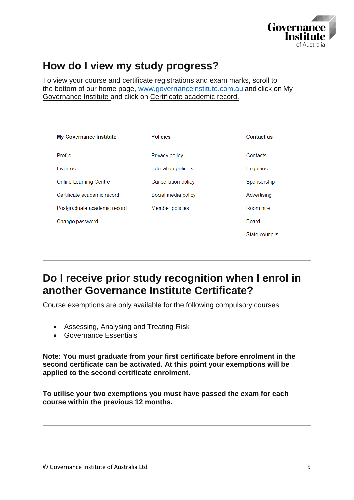

### **How do I view my study progress?**

To view your course and certificate registrations and exam marks, scroll to the bottom of our home page, [www.governanceinstitute.com.au](file://///csaust.com/data$/Company%20Templates/Certificate%20Course%20Materials/.SHORT%20COURSES%20AND%20CERTIFICATES%20POLICIES/www.governanceinstitute.com.au) and click on [My](https://www.governanceinstitute.com.au/my-governance-institute/)  [Governance Institute](https://www.governanceinstitute.com.au/my-governance-institute/) and click on Certificate academic record.

| <b>My Governance Institute</b> | <b>Policies</b>           | <b>Contact us</b> |
|--------------------------------|---------------------------|-------------------|
| Profile                        | Privacy policy            | Contacts          |
| Invoices                       | <b>Education policies</b> | <b>Enquiries</b>  |
| <b>Online Learning Centre</b>  | Cancellation policy       | Sponsorship       |
| Certificate academic record    | Social media policy       | Advertising       |
| Postgraduate academic record   | Member policies           | Room hire         |
| Change password                |                           | Board             |
|                                |                           | State councils    |

### **Do I receive prior study recognition when I enrol in another Governance Institute Certificate?**

Course exemptions are only available for the following compulsory courses:

- Assessing, Analysing and Treating Risk
- Governance Essentials

**Note: You must graduate from your first certificate before enrolment in the second certificate can be activated. At this point your exemptions will be applied to the second certificate enrolment.**

**To utilise your two exemptions you must have passed the exam for each course within the previous 12 months.**